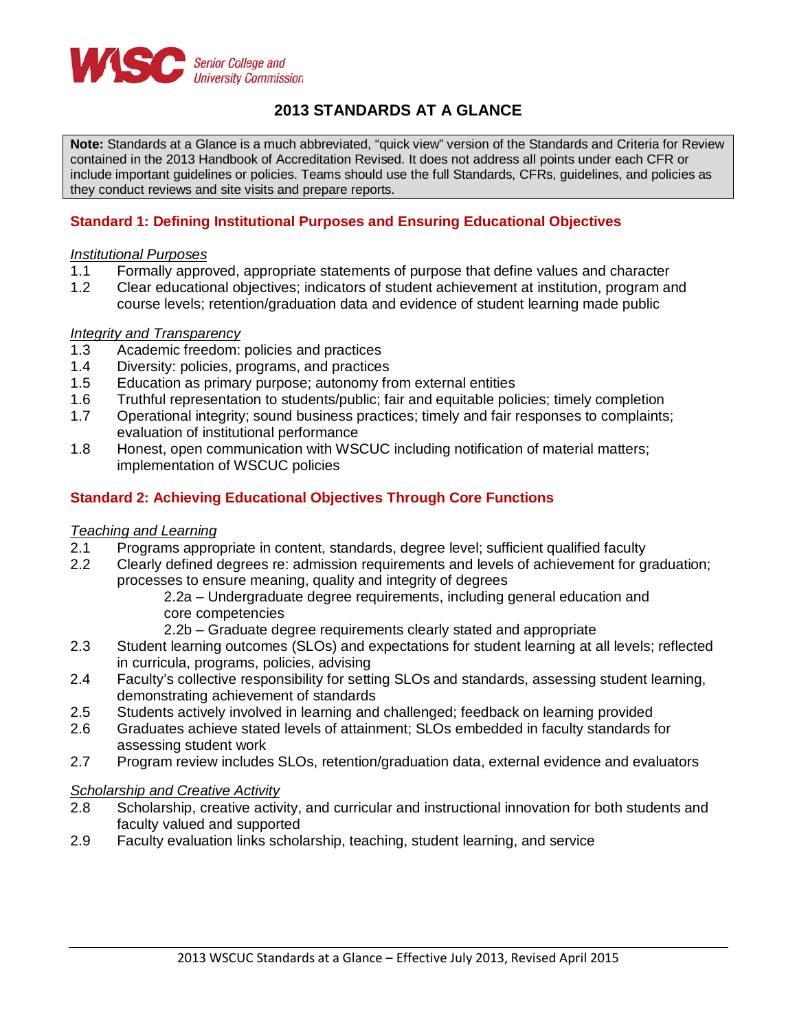

# **2013 STANDARDS AT A GLANCE**

**Note:** Standards at a Glance is a much abbreviated, "quick view" version of the Standards and Criteria for Review contained in the 2013 Handbook of Accreditation Revised. It does not address all points under each CFR or include important guidelines or policies. Teams should use the full Standards, CFRs, guidelines, and policies as they conduct reviews and site visits and prepare reports.

## **Standard 1: Defining Institutional Purposes and Ensuring Educational Objectives**

### *Institutional Purposes*

- 1.1 Formally approved, appropriate statements of purpose that define values and character
- 1.2 Clear educational objectives; indicators of student achievement at institution, program and course levels; retention/graduation data and evidence of student learning made public

### *Integrity and Transparency*

- 1.3 Academic freedom: policies and practices<br>1.4 Diversity: policies, programs, and practices
- 1.4 Diversity: policies, programs, and practices<br>1.5 Education as primary purpose: autonomy free
- Education as primary purpose; autonomy from external entities
- 
- 1.6 Truthful representation to students/public; fair and equitable policies; timely completion<br>1.7 Operational integrity: sound business practices: timely and fair responses to complaints Operational integrity; sound business practices; timely and fair responses to complaints; evaluation of institutional performance
- 1.8 Honest, open communication with WSCUC including notification of material matters; implementation of WSCUC policies

### **Standard 2: Achieving Educational Objectives Through Core Functions**

### *Teaching and Learning*

- 2.1 Programs appropriate in content, standards, degree level; sufficient qualified faculty
- 2.2 Clearly defined degrees re: admission requirements and levels of achievement for graduation; processes to ensure meaning, quality and integrity of degrees
	- 2.2a Undergraduate degree requirements, including general education and core competencies
	- 2.2b Graduate degree requirements clearly stated and appropriate
- 2.3 Student learning outcomes (SLOs) and expectations for student learning at all levels; reflected in curricula, programs, policies, advising
- 2.4 Faculty's collective responsibility for setting SLOs and standards, assessing student learning, demonstrating achievement of standards
- 2.5 Students actively involved in learning and challenged; feedback on learning provided
- 2.6 Graduates achieve stated levels of attainment; SLOs embedded in faculty standards for assessing student work
- 2.7 Program review includes SLOs, retention/graduation data, external evidence and evaluators

### *Scholarship and Creative Activity*

- 2.8 Scholarship, creative activity, and curricular and instructional innovation for both students and faculty valued and supported
- 2.9 Faculty evaluation links scholarship, teaching, student learning, and service